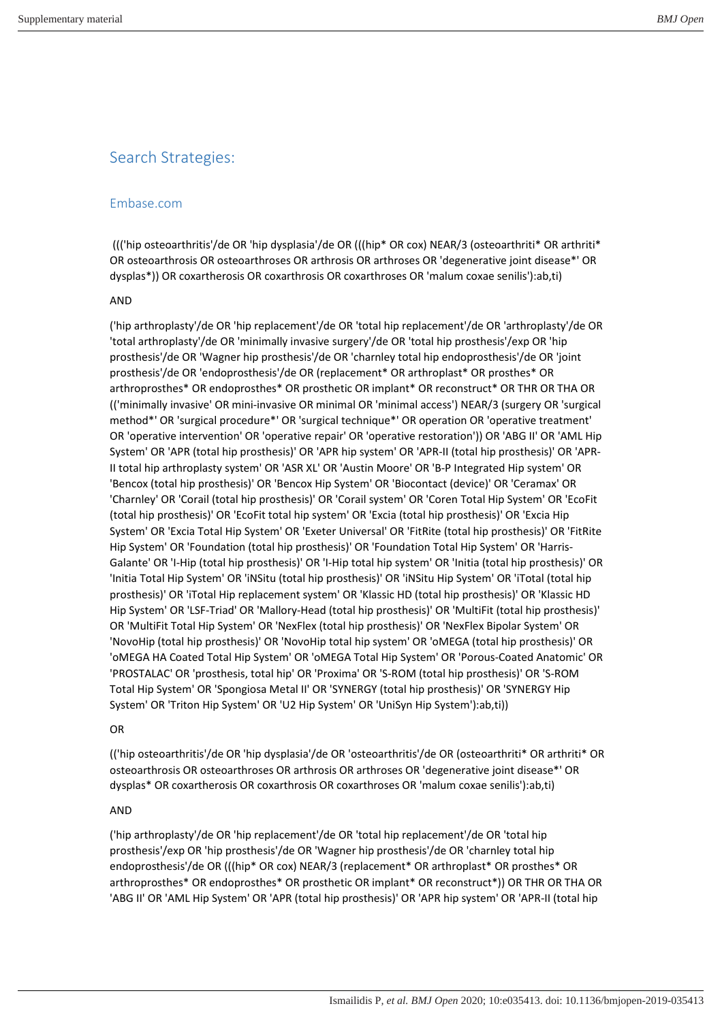# Search Strategies:

## Embase.com

 ((('hip osteoarthritis'/de OR 'hip dysplasia'/de OR (((hip\* OR cox) NEAR/3 (osteoarthriti\* OR arthriti\* OR osteoarthrosis OR osteoarthroses OR arthrosis OR arthroses OR 'degenerative joint disease\*' OR dysplas\*)) OR coxartherosis OR coxarthrosis OR coxarthroses OR 'malum coxae senilis'):ab,ti)

## AND

('hip arthroplasty'/de OR 'hip replacement'/de OR 'total hip replacement'/de OR 'arthroplasty'/de OR 'total arthroplasty'/de OR 'minimally invasive surgery'/de OR 'total hip prosthesis'/exp OR 'hip prosthesis'/de OR 'Wagner hip prosthesis'/de OR 'charnley total hip endoprosthesis'/de OR 'joint prosthesis'/de OR 'endoprosthesis'/de OR (replacement\* OR arthroplast\* OR prosthes\* OR arthroprosthes\* OR endoprosthes\* OR prosthetic OR implant\* OR reconstruct\* OR THR OR THA OR (('minimally invasive' OR mini-invasive OR minimal OR 'minimal access') NEAR/3 (surgery OR 'surgical method\*' OR 'surgical procedure\*' OR 'surgical technique\*' OR operation OR 'operative treatment' OR 'operative intervention' OR 'operative repair' OR 'operative restoration')) OR 'ABG II' OR 'AML Hip System' OR 'APR (total hip prosthesis)' OR 'APR hip system' OR 'APR-II (total hip prosthesis)' OR 'APR-II total hip arthroplasty system' OR 'ASR XL' OR 'Austin Moore' OR 'B-P Integrated Hip system' OR 'Bencox (total hip prosthesis)' OR 'Bencox Hip System' OR 'Biocontact (device)' OR 'Ceramax' OR 'Charnley' OR 'Corail (total hip prosthesis)' OR 'Corail system' OR 'Coren Total Hip System' OR 'EcoFit (total hip prosthesis)' OR 'EcoFit total hip system' OR 'Excia (total hip prosthesis)' OR 'Excia Hip System' OR 'Excia Total Hip System' OR 'Exeter Universal' OR 'FitRite (total hip prosthesis)' OR 'FitRite Hip System' OR 'Foundation (total hip prosthesis)' OR 'Foundation Total Hip System' OR 'Harris-Galante' OR 'I-Hip (total hip prosthesis)' OR 'I-Hip total hip system' OR 'Initia (total hip prosthesis)' OR 'Initia Total Hip System' OR 'iNSitu (total hip prosthesis)' OR 'iNSitu Hip System' OR 'iTotal (total hip prosthesis)' OR 'iTotal Hip replacement system' OR 'Klassic HD (total hip prosthesis)' OR 'Klassic HD Hip System' OR 'LSF-Triad' OR 'Mallory-Head (total hip prosthesis)' OR 'MultiFit (total hip prosthesis)' OR 'MultiFit Total Hip System' OR 'NexFlex (total hip prosthesis)' OR 'NexFlex Bipolar System' OR 'NovoHip (total hip prosthesis)' OR 'NovoHip total hip system' OR 'oMEGA (total hip prosthesis)' OR 'oMEGA HA Coated Total Hip System' OR 'oMEGA Total Hip System' OR 'Porous-Coated Anatomic' OR 'PROSTALAC' OR 'prosthesis, total hip' OR 'Proxima' OR 'S-ROM (total hip prosthesis)' OR 'S-ROM Total Hip System' OR 'Spongiosa Metal II' OR 'SYNERGY (total hip prosthesis)' OR 'SYNERGY Hip System' OR 'Triton Hip System' OR 'U2 Hip System' OR 'UniSyn Hip System'):ab,ti))

## OR

(('hip osteoarthritis'/de OR 'hip dysplasia'/de OR 'osteoarthritis'/de OR (osteoarthriti\* OR arthriti\* OR osteoarthrosis OR osteoarthroses OR arthrosis OR arthroses OR 'degenerative joint disease\*' OR dysplas\* OR coxartherosis OR coxarthrosis OR coxarthroses OR 'malum coxae senilis'):ab,ti)

## AND

('hip arthroplasty'/de OR 'hip replacement'/de OR 'total hip replacement'/de OR 'total hip prosthesis'/exp OR 'hip prosthesis'/de OR 'Wagner hip prosthesis'/de OR 'charnley total hip endoprosthesis'/de OR (((hip\* OR cox) NEAR/3 (replacement\* OR arthroplast\* OR prosthes\* OR arthroprosthes\* OR endoprosthes\* OR prosthetic OR implant\* OR reconstruct\*)) OR THR OR THA OR 'ABG II' OR 'AML Hip System' OR 'APR (total hip prosthesis)' OR 'APR hip system' OR 'APR-II (total hip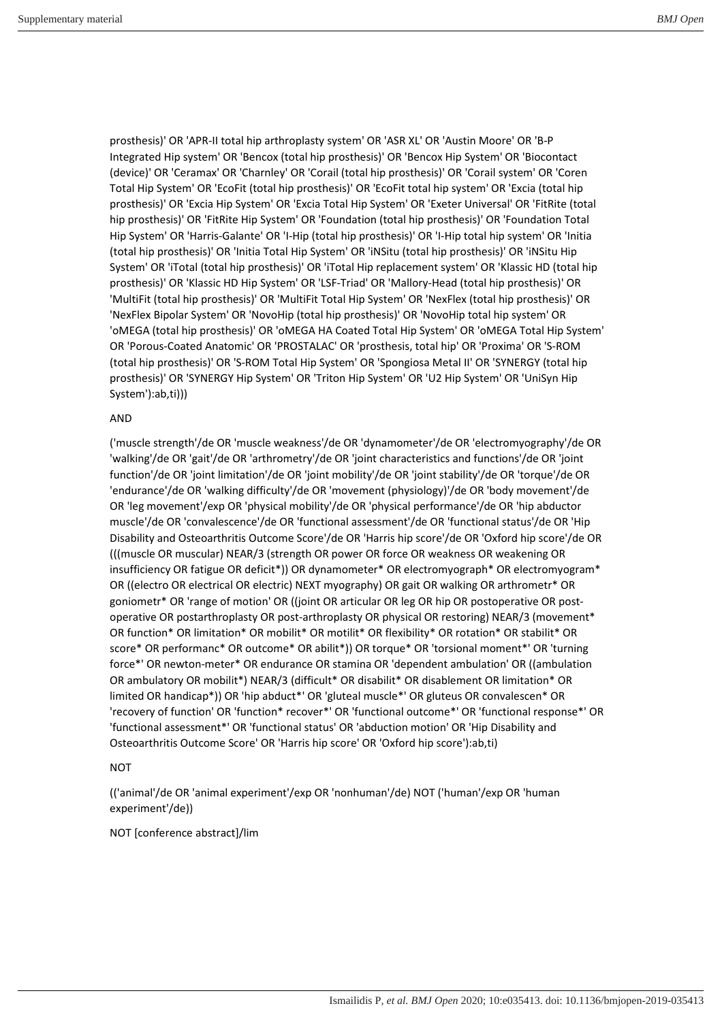prosthesis)' OR 'APR-II total hip arthroplasty system' OR 'ASR XL' OR 'Austin Moore' OR 'B-P Integrated Hip system' OR 'Bencox (total hip prosthesis)' OR 'Bencox Hip System' OR 'Biocontact (device)' OR 'Ceramax' OR 'Charnley' OR 'Corail (total hip prosthesis)' OR 'Corail system' OR 'Coren Total Hip System' OR 'EcoFit (total hip prosthesis)' OR 'EcoFit total hip system' OR 'Excia (total hip prosthesis)' OR 'Excia Hip System' OR 'Excia Total Hip System' OR 'Exeter Universal' OR 'FitRite (total hip prosthesis)' OR 'FitRite Hip System' OR 'Foundation (total hip prosthesis)' OR 'Foundation Total Hip System' OR 'Harris-Galante' OR 'I-Hip (total hip prosthesis)' OR 'I-Hip total hip system' OR 'Initia (total hip prosthesis)' OR 'Initia Total Hip System' OR 'iNSitu (total hip prosthesis)' OR 'iNSitu Hip System' OR 'iTotal (total hip prosthesis)' OR 'iTotal Hip replacement system' OR 'Klassic HD (total hip prosthesis)' OR 'Klassic HD Hip System' OR 'LSF-Triad' OR 'Mallory-Head (total hip prosthesis)' OR 'MultiFit (total hip prosthesis)' OR 'MultiFit Total Hip System' OR 'NexFlex (total hip prosthesis)' OR 'NexFlex Bipolar System' OR 'NovoHip (total hip prosthesis)' OR 'NovoHip total hip system' OR 'oMEGA (total hip prosthesis)' OR 'oMEGA HA Coated Total Hip System' OR 'oMEGA Total Hip System' OR 'Porous-Coated Anatomic' OR 'PROSTALAC' OR 'prosthesis, total hip' OR 'Proxima' OR 'S-ROM (total hip prosthesis)' OR 'S-ROM Total Hip System' OR 'Spongiosa Metal II' OR 'SYNERGY (total hip prosthesis)' OR 'SYNERGY Hip System' OR 'Triton Hip System' OR 'U2 Hip System' OR 'UniSyn Hip System'):ab,ti)))

#### AND

('muscle strength'/de OR 'muscle weakness'/de OR 'dynamometer'/de OR 'electromyography'/de OR 'walking'/de OR 'gait'/de OR 'arthrometry'/de OR 'joint characteristics and functions'/de OR 'joint function'/de OR 'joint limitation'/de OR 'joint mobility'/de OR 'joint stability'/de OR 'torque'/de OR 'endurance'/de OR 'walking difficulty'/de OR 'movement (physiology)'/de OR 'body movement'/de OR 'leg movement'/exp OR 'physical mobility'/de OR 'physical performance'/de OR 'hip abductor muscle'/de OR 'convalescence'/de OR 'functional assessment'/de OR 'functional status'/de OR 'Hip Disability and Osteoarthritis Outcome Score'/de OR 'Harris hip score'/de OR 'Oxford hip score'/de OR (((muscle OR muscular) NEAR/3 (strength OR power OR force OR weakness OR weakening OR insufficiency OR fatigue OR deficit\*)) OR dynamometer\* OR electromyograph\* OR electromyogram\* OR ((electro OR electrical OR electric) NEXT myography) OR gait OR walking OR arthrometr\* OR goniometr\* OR 'range of motion' OR ((joint OR articular OR leg OR hip OR postoperative OR postoperative OR postarthroplasty OR post-arthroplasty OR physical OR restoring) NEAR/3 (movement\* OR function\* OR limitation\* OR mobilit\* OR motilit\* OR flexibility\* OR rotation\* OR stabilit\* OR score\* OR performanc\* OR outcome\* OR abilit\*)) OR torque\* OR 'torsional moment\*' OR 'turning force\*' OR newton-meter\* OR endurance OR stamina OR 'dependent ambulation' OR ((ambulation OR ambulatory OR mobilit\*) NEAR/3 (difficult\* OR disabilit\* OR disablement OR limitation\* OR limited OR handicap\*)) OR 'hip abduct\*' OR 'gluteal muscle\*' OR gluteus OR convalescen\* OR 'recovery of function' OR 'function\* recover\*' OR 'functional outcome\*' OR 'functional response\*' OR 'functional assessment\*' OR 'functional status' OR 'abduction motion' OR 'Hip Disability and Osteoarthritis Outcome Score' OR 'Harris hip score' OR 'Oxford hip score'):ab,ti)

## **NOT**

(('animal'/de OR 'animal experiment'/exp OR 'nonhuman'/de) NOT ('human'/exp OR 'human experiment'/de))

#### NOT [conference abstract]/lim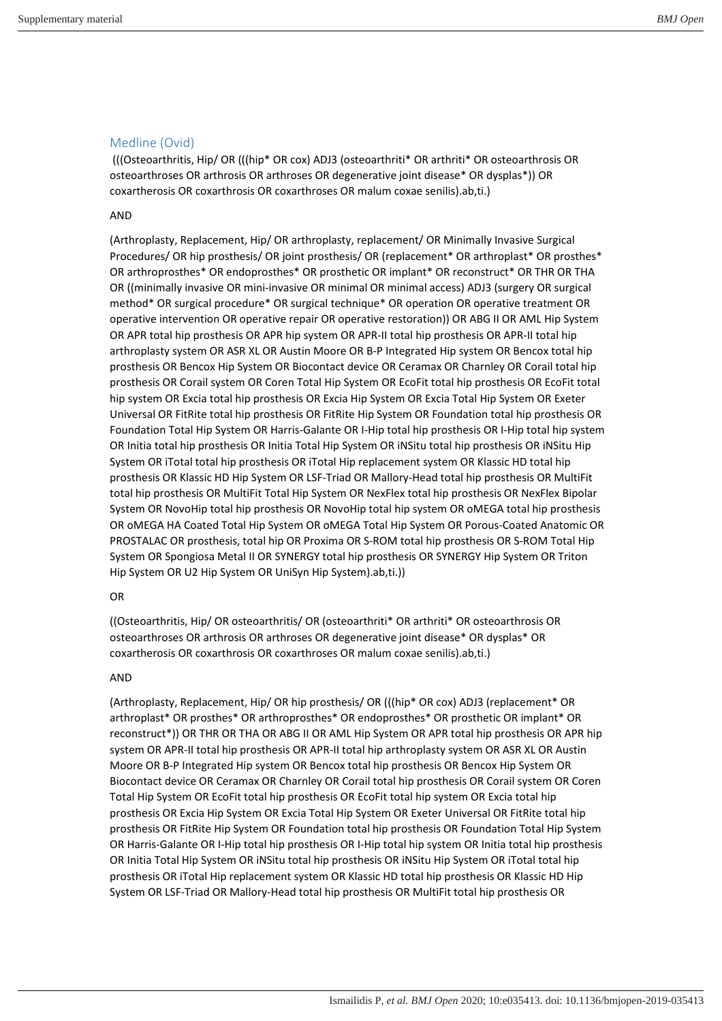## Medline (Ovid)

 (((Osteoarthritis, Hip/ OR (((hip\* OR cox) ADJ3 (osteoarthriti\* OR arthriti\* OR osteoarthrosis OR osteoarthroses OR arthrosis OR arthroses OR degenerative joint disease\* OR dysplas\*)) OR coxartherosis OR coxarthrosis OR coxarthroses OR malum coxae senilis).ab,ti.)

## AND

(Arthroplasty, Replacement, Hip/ OR arthroplasty, replacement/ OR Minimally Invasive Surgical Procedures/ OR hip prosthesis/ OR joint prosthesis/ OR (replacement\* OR arthroplast\* OR prosthes\* OR arthroprosthes\* OR endoprosthes\* OR prosthetic OR implant\* OR reconstruct\* OR THR OR THA OR ((minimally invasive OR mini-invasive OR minimal OR minimal access) ADJ3 (surgery OR surgical method\* OR surgical procedure\* OR surgical technique\* OR operation OR operative treatment OR operative intervention OR operative repair OR operative restoration)) OR ABG II OR AML Hip System OR APR total hip prosthesis OR APR hip system OR APR-II total hip prosthesis OR APR-II total hip arthroplasty system OR ASR XL OR Austin Moore OR B-P Integrated Hip system OR Bencox total hip prosthesis OR Bencox Hip System OR Biocontact device OR Ceramax OR Charnley OR Corail total hip prosthesis OR Corail system OR Coren Total Hip System OR EcoFit total hip prosthesis OR EcoFit total hip system OR Excia total hip prosthesis OR Excia Hip System OR Excia Total Hip System OR Exeter Universal OR FitRite total hip prosthesis OR FitRite Hip System OR Foundation total hip prosthesis OR Foundation Total Hip System OR Harris-Galante OR I-Hip total hip prosthesis OR I-Hip total hip system OR Initia total hip prosthesis OR Initia Total Hip System OR iNSitu total hip prosthesis OR iNSitu Hip System OR iTotal total hip prosthesis OR iTotal Hip replacement system OR Klassic HD total hip prosthesis OR Klassic HD Hip System OR LSF-Triad OR Mallory-Head total hip prosthesis OR MultiFit total hip prosthesis OR MultiFit Total Hip System OR NexFlex total hip prosthesis OR NexFlex Bipolar System OR NovoHip total hip prosthesis OR NovoHip total hip system OR oMEGA total hip prosthesis OR oMEGA HA Coated Total Hip System OR oMEGA Total Hip System OR Porous-Coated Anatomic OR PROSTALAC OR prosthesis, total hip OR Proxima OR S-ROM total hip prosthesis OR S-ROM Total Hip System OR Spongiosa Metal II OR SYNERGY total hip prosthesis OR SYNERGY Hip System OR Triton Hip System OR U2 Hip System OR UniSyn Hip System).ab,ti.))

## OR

((Osteoarthritis, Hip/ OR osteoarthritis/ OR (osteoarthriti\* OR arthriti\* OR osteoarthrosis OR osteoarthroses OR arthrosis OR arthroses OR degenerative joint disease\* OR dysplas\* OR coxartherosis OR coxarthrosis OR coxarthroses OR malum coxae senilis).ab,ti.)

## AND

(Arthroplasty, Replacement, Hip/ OR hip prosthesis/ OR (((hip\* OR cox) ADJ3 (replacement\* OR arthroplast\* OR prosthes\* OR arthroprosthes\* OR endoprosthes\* OR prosthetic OR implant\* OR reconstruct\*)) OR THR OR THA OR ABG II OR AML Hip System OR APR total hip prosthesis OR APR hip system OR APR-II total hip prosthesis OR APR-II total hip arthroplasty system OR ASR XL OR Austin Moore OR B-P Integrated Hip system OR Bencox total hip prosthesis OR Bencox Hip System OR Biocontact device OR Ceramax OR Charnley OR Corail total hip prosthesis OR Corail system OR Coren Total Hip System OR EcoFit total hip prosthesis OR EcoFit total hip system OR Excia total hip prosthesis OR Excia Hip System OR Excia Total Hip System OR Exeter Universal OR FitRite total hip prosthesis OR FitRite Hip System OR Foundation total hip prosthesis OR Foundation Total Hip System OR Harris-Galante OR I-Hip total hip prosthesis OR I-Hip total hip system OR Initia total hip prosthesis OR Initia Total Hip System OR iNSitu total hip prosthesis OR iNSitu Hip System OR iTotal total hip prosthesis OR iTotal Hip replacement system OR Klassic HD total hip prosthesis OR Klassic HD Hip System OR LSF-Triad OR Mallory-Head total hip prosthesis OR MultiFit total hip prosthesis OR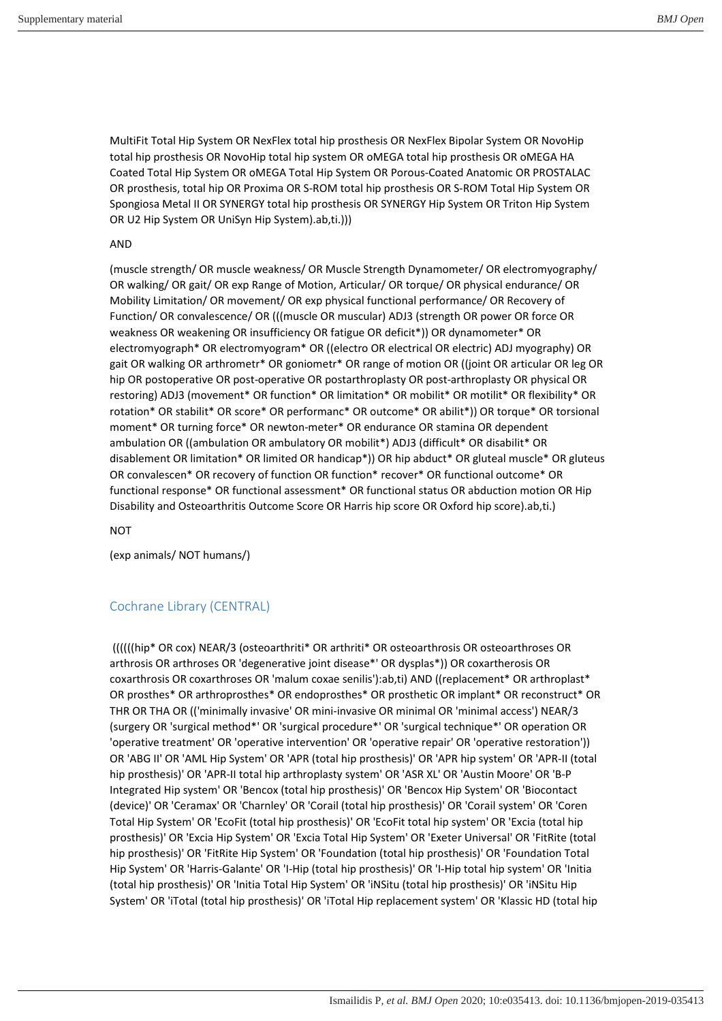MultiFit Total Hip System OR NexFlex total hip prosthesis OR NexFlex Bipolar System OR NovoHip total hip prosthesis OR NovoHip total hip system OR oMEGA total hip prosthesis OR oMEGA HA Coated Total Hip System OR oMEGA Total Hip System OR Porous-Coated Anatomic OR PROSTALAC OR prosthesis, total hip OR Proxima OR S-ROM total hip prosthesis OR S-ROM Total Hip System OR Spongiosa Metal II OR SYNERGY total hip prosthesis OR SYNERGY Hip System OR Triton Hip System OR U2 Hip System OR UniSyn Hip System).ab,ti.)))

#### AND

(muscle strength/ OR muscle weakness/ OR Muscle Strength Dynamometer/ OR electromyography/ OR walking/ OR gait/ OR exp Range of Motion, Articular/ OR torque/ OR physical endurance/ OR Mobility Limitation/ OR movement/ OR exp physical functional performance/ OR Recovery of Function/ OR convalescence/ OR (((muscle OR muscular) ADJ3 (strength OR power OR force OR weakness OR weakening OR insufficiency OR fatigue OR deficit\*)) OR dynamometer\* OR electromyograph\* OR electromyogram\* OR ((electro OR electrical OR electric) ADJ myography) OR gait OR walking OR arthrometr\* OR goniometr\* OR range of motion OR ((joint OR articular OR leg OR hip OR postoperative OR post-operative OR postarthroplasty OR post-arthroplasty OR physical OR restoring) ADJ3 (movement\* OR function\* OR limitation\* OR mobilit\* OR motilit\* OR flexibility\* OR rotation\* OR stabilit\* OR score\* OR performanc\* OR outcome\* OR abilit\*)) OR torque\* OR torsional moment\* OR turning force\* OR newton-meter\* OR endurance OR stamina OR dependent ambulation OR ((ambulation OR ambulatory OR mobilit\*) ADJ3 (difficult\* OR disabilit\* OR disablement OR limitation\* OR limited OR handicap\*)) OR hip abduct\* OR gluteal muscle\* OR gluteus OR convalescen\* OR recovery of function OR function\* recover\* OR functional outcome\* OR functional response\* OR functional assessment\* OR functional status OR abduction motion OR Hip Disability and Osteoarthritis Outcome Score OR Harris hip score OR Oxford hip score).ab,ti.)

**NOT** 

(exp animals/ NOT humans/)

## Cochrane Library (CENTRAL)

 ((((((hip\* OR cox) NEAR/3 (osteoarthriti\* OR arthriti\* OR osteoarthrosis OR osteoarthroses OR arthrosis OR arthroses OR 'degenerative joint disease\*' OR dysplas\*)) OR coxartherosis OR coxarthrosis OR coxarthroses OR 'malum coxae senilis'):ab,ti) AND ((replacement\* OR arthroplast\* OR prosthes\* OR arthroprosthes\* OR endoprosthes\* OR prosthetic OR implant\* OR reconstruct\* OR THR OR THA OR (('minimally invasive' OR mini-invasive OR minimal OR 'minimal access') NEAR/3 (surgery OR 'surgical method\*' OR 'surgical procedure\*' OR 'surgical technique\*' OR operation OR 'operative treatment' OR 'operative intervention' OR 'operative repair' OR 'operative restoration')) OR 'ABG II' OR 'AML Hip System' OR 'APR (total hip prosthesis)' OR 'APR hip system' OR 'APR-II (total hip prosthesis)' OR 'APR-II total hip arthroplasty system' OR 'ASR XL' OR 'Austin Moore' OR 'B-P Integrated Hip system' OR 'Bencox (total hip prosthesis)' OR 'Bencox Hip System' OR 'Biocontact (device)' OR 'Ceramax' OR 'Charnley' OR 'Corail (total hip prosthesis)' OR 'Corail system' OR 'Coren Total Hip System' OR 'EcoFit (total hip prosthesis)' OR 'EcoFit total hip system' OR 'Excia (total hip prosthesis)' OR 'Excia Hip System' OR 'Excia Total Hip System' OR 'Exeter Universal' OR 'FitRite (total hip prosthesis)' OR 'FitRite Hip System' OR 'Foundation (total hip prosthesis)' OR 'Foundation Total Hip System' OR 'Harris-Galante' OR 'I-Hip (total hip prosthesis)' OR 'I-Hip total hip system' OR 'Initia (total hip prosthesis)' OR 'Initia Total Hip System' OR 'iNSitu (total hip prosthesis)' OR 'iNSitu Hip System' OR 'iTotal (total hip prosthesis)' OR 'iTotal Hip replacement system' OR 'Klassic HD (total hip